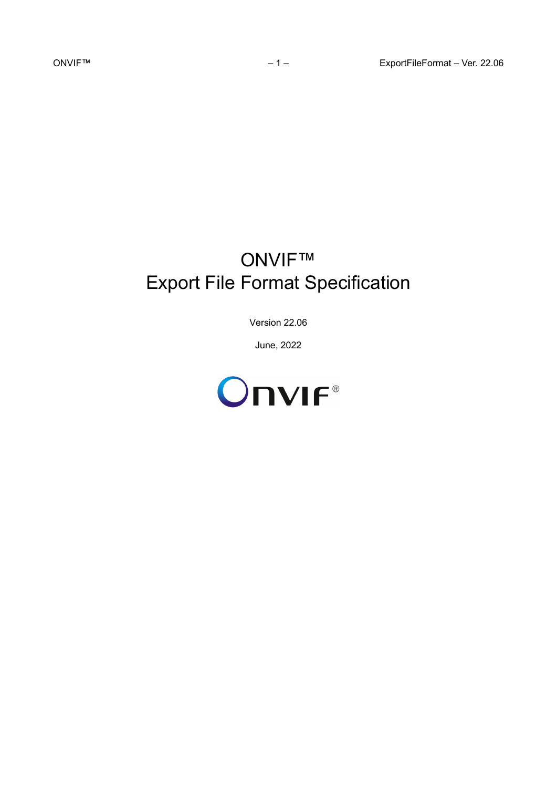# ONVIF™ Export File Format Specification

Version 22.06

June, 2022

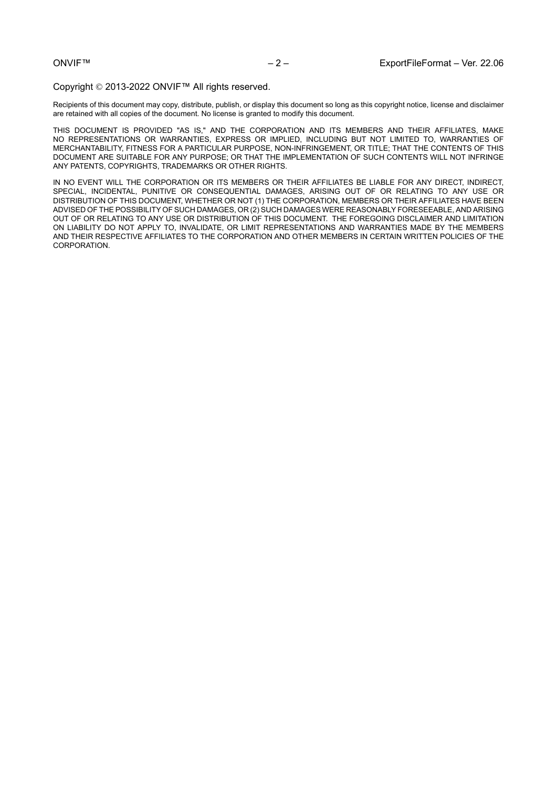#### Copyright © 2013-2022 ONVIF™ All rights reserved.

Recipients of this document may copy, distribute, publish, or display this document so long as this copyright notice, license and disclaimer are retained with all copies of the document. No license is granted to modify this document.

THIS DOCUMENT IS PROVIDED "AS IS," AND THE CORPORATION AND ITS MEMBERS AND THEIR AFFILIATES, MAKE NO REPRESENTATIONS OR WARRANTIES, EXPRESS OR IMPLIED, INCLUDING BUT NOT LIMITED TO, WARRANTIES OF MERCHANTABILITY, FITNESS FOR A PARTICULAR PURPOSE, NON-INFRINGEMENT, OR TITLE; THAT THE CONTENTS OF THIS DOCUMENT ARE SUITABLE FOR ANY PURPOSE; OR THAT THE IMPLEMENTATION OF SUCH CONTENTS WILL NOT INFRINGE ANY PATENTS, COPYRIGHTS, TRADEMARKS OR OTHER RIGHTS.

IN NO EVENT WILL THE CORPORATION OR ITS MEMBERS OR THEIR AFFILIATES BE LIABLE FOR ANY DIRECT, INDIRECT, SPECIAL, INCIDENTAL, PUNITIVE OR CONSEQUENTIAL DAMAGES, ARISING OUT OF OR RELATING TO ANY USE OR DISTRIBUTION OF THIS DOCUMENT, WHETHER OR NOT (1) THE CORPORATION, MEMBERS OR THEIR AFFILIATES HAVE BEEN ADVISED OF THE POSSIBILITY OF SUCH DAMAGES, OR (2) SUCH DAMAGES WERE REASONABLY FORESEEABLE, AND ARISING OUT OF OR RELATING TO ANY USE OR DISTRIBUTION OF THIS DOCUMENT. THE FOREGOING DISCLAIMER AND LIMITATION ON LIABILITY DO NOT APPLY TO, INVALIDATE, OR LIMIT REPRESENTATIONS AND WARRANTIES MADE BY THE MEMBERS AND THEIR RESPECTIVE AFFILIATES TO THE CORPORATION AND OTHER MEMBERS IN CERTAIN WRITTEN POLICIES OF THE CORPORATION.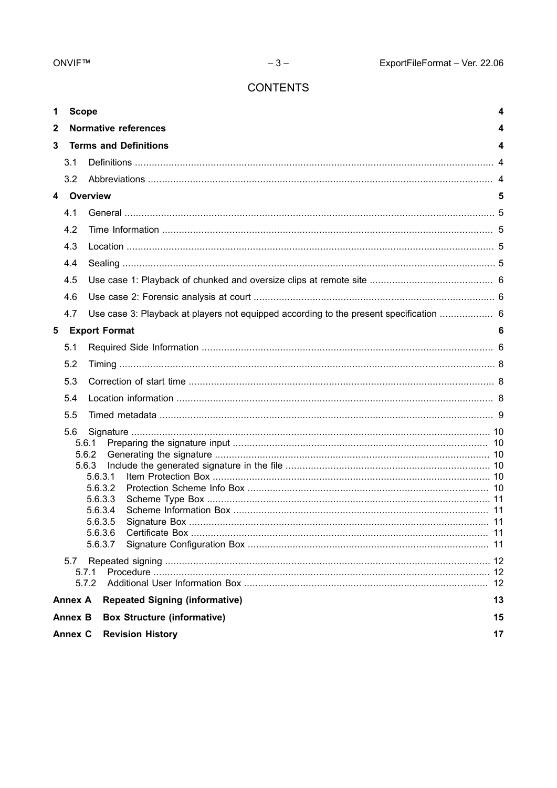# **CONTENTS**

| 1            | <b>Scope</b>   |                                                                                        | 4    |  |  |  |  |  |
|--------------|----------------|----------------------------------------------------------------------------------------|------|--|--|--|--|--|
| $\mathbf{2}$ |                | <b>Normative references</b>                                                            | 4    |  |  |  |  |  |
| 3            |                | <b>Terms and Definitions</b><br>4                                                      |      |  |  |  |  |  |
|              | 3.1            |                                                                                        |      |  |  |  |  |  |
|              | 3.2            |                                                                                        |      |  |  |  |  |  |
|              |                | 4 Overview                                                                             | 5    |  |  |  |  |  |
|              | 4.1            |                                                                                        |      |  |  |  |  |  |
|              | 4.2            |                                                                                        |      |  |  |  |  |  |
|              | 4.3            |                                                                                        |      |  |  |  |  |  |
|              | 4.4            |                                                                                        |      |  |  |  |  |  |
|              | 4.5            |                                                                                        |      |  |  |  |  |  |
|              | 4.6            |                                                                                        |      |  |  |  |  |  |
|              | 4.7            | Use case 3: Playback at players not equipped according to the present specification  6 |      |  |  |  |  |  |
| 5            |                | <b>Export Format</b>                                                                   | 6    |  |  |  |  |  |
|              | 5.1            |                                                                                        |      |  |  |  |  |  |
|              | 5.2            |                                                                                        |      |  |  |  |  |  |
|              | 5.3            |                                                                                        |      |  |  |  |  |  |
|              | 5.4            |                                                                                        |      |  |  |  |  |  |
|              | 5.5            |                                                                                        |      |  |  |  |  |  |
|              | 5.6            |                                                                                        |      |  |  |  |  |  |
|              |                | 5.6.1                                                                                  |      |  |  |  |  |  |
|              |                | 5.6.2                                                                                  |      |  |  |  |  |  |
|              |                | 5.6.3<br>5.6.3.1                                                                       |      |  |  |  |  |  |
|              |                | 5.6.3.2                                                                                |      |  |  |  |  |  |
|              |                | 5.6.3.3                                                                                |      |  |  |  |  |  |
|              |                | 5.6.3.4<br>5.6.3.5                                                                     |      |  |  |  |  |  |
|              |                | 5.6.3.6                                                                                | - 11 |  |  |  |  |  |
| 5.6.3.7      |                |                                                                                        |      |  |  |  |  |  |
|              | 5.7            |                                                                                        |      |  |  |  |  |  |
|              |                | 5.7.1                                                                                  |      |  |  |  |  |  |
|              |                | 5.7.2                                                                                  | 12   |  |  |  |  |  |
|              | <b>Annex A</b> | <b>Repeated Signing (informative)</b>                                                  | 13   |  |  |  |  |  |
|              | <b>Annex B</b> | <b>Box Structure (informative)</b>                                                     | 15   |  |  |  |  |  |
|              | <b>Annex C</b> | <b>Revision History</b>                                                                | 17   |  |  |  |  |  |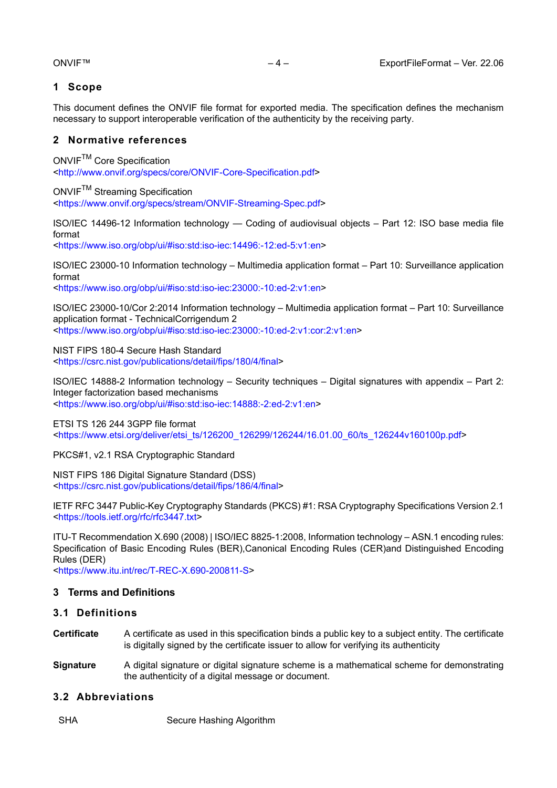# <span id="page-3-0"></span>**1 Scope**

This document defines the ONVIF file format for exported media. The specification defines the mechanism necessary to support interoperable verification of the authenticity by the receiving party.

# <span id="page-3-1"></span>**2 Normative references**

ONVIFTM Core Specification <<http://www.onvif.org/specs/core/ONVIF-Core-Specification.pdf>>

ONVIFTM Streaming Specification <<https://www.onvif.org/specs/stream/ONVIF-Streaming-Spec.pdf>>

ISO/IEC 14496-12 Information technology — Coding of audiovisual objects – Part 12: ISO base media file format <<https://www.iso.org/obp/ui/#iso:std:iso-iec:14496:-12:ed-5:v1:en>>

ISO/IEC 23000-10 Information technology – Multimedia application format – Part 10: Surveillance application format

<<https://www.iso.org/obp/ui/#iso:std:iso-iec:23000:-10:ed-2:v1:en>>

ISO/IEC 23000-10/Cor 2:2014 Information technology – Multimedia application format – Part 10: Surveillance application format - TechnicalCorrigendum 2 <<https://www.iso.org/obp/ui/#iso:std:iso-iec:23000:-10:ed-2:v1:cor:2:v1:en>>

NIST FIPS 180-4 Secure Hash Standard <<https://csrc.nist.gov/publications/detail/fips/180/4/final>>

ISO/IEC 14888-2 Information technology – Security techniques – Digital signatures with appendix – Part 2: Integer factorization based mechanisms <<https://www.iso.org/obp/ui/#iso:std:iso-iec:14888:-2:ed-2:v1:en>>

ETSI TS 126 244 3GPP file format <[https://www.etsi.org/deliver/etsi\\_ts/126200\\_126299/126244/16.01.00\\_60/ts\\_126244v160100p.pdf](https://www.etsi.org/deliver/etsi_ts/126200_126299/126244/16.01.00_60/ts_126244v160100p.pdf)>

# PKCS#1, v2.1 RSA Cryptographic Standard

NIST FIPS 186 Digital Signature Standard (DSS) <<https://csrc.nist.gov/publications/detail/fips/186/4/final>>

IETF RFC 3447 Public-Key Cryptography Standards (PKCS) #1: RSA Cryptography Specifications Version 2.1 <<https://tools.ietf.org/rfc/rfc3447.txt>>

ITU-T Recommendation X.690 (2008) | ISO/IEC 8825-1:2008, Information technology – ASN.1 encoding rules: Specification of Basic Encoding Rules (BER),Canonical Encoding Rules (CER)and Distinguished Encoding Rules (DER)

<<https://www.itu.int/rec/T-REC-X.690-200811-S>>

# <span id="page-3-2"></span>**3 Terms and Definitions**

# <span id="page-3-3"></span>**3.1 Definitions**

- **Certificate** A certificate as used in this specification binds a public key to a subject entity. The certificate is digitally signed by the certificate issuer to allow for verifying its authenticity
- **Signature** A digital signature or digital signature scheme is a mathematical scheme for demonstrating the authenticity of a digital message or document.

# <span id="page-3-4"></span>**3.2 Abbreviations**

SHA Secure Hashing Algorithm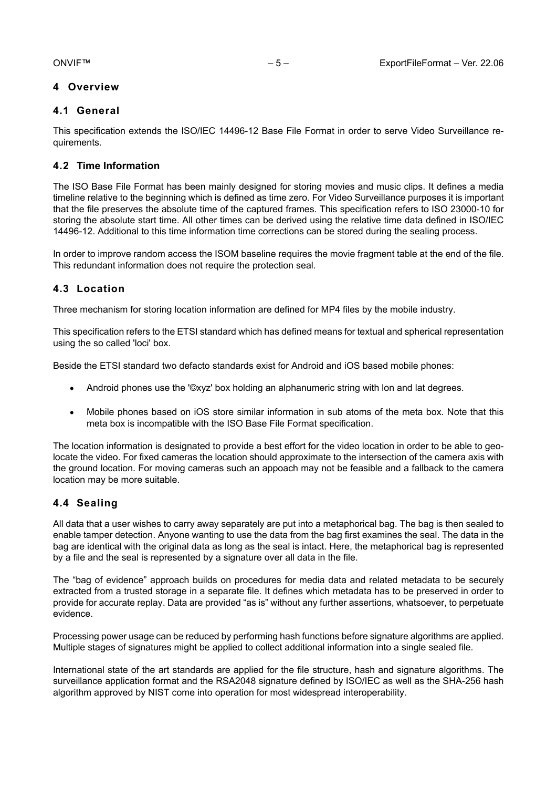# <span id="page-4-1"></span><span id="page-4-0"></span>**4 Overview**

# **4.1 General**

This specification extends the ISO/IEC 14496-12 Base File Format in order to serve Video Surveillance requirements.

# <span id="page-4-2"></span>**4.2 Time Information**

The ISO Base File Format has been mainly designed for storing movies and music clips. It defines a media timeline relative to the beginning which is defined as time zero. For Video Surveillance purposes it is important that the file preserves the absolute time of the captured frames. This specification refers to ISO 23000-10 for storing the absolute start time. All other times can be derived using the relative time data defined in ISO/IEC 14496-12. Additional to this time information time corrections can be stored during the sealing process.

In order to improve random access the ISOM baseline requires the movie fragment table at the end of the file. This redundant information does not require the protection seal.

# <span id="page-4-3"></span>**4.3 Location**

Three mechanism for storing location information are defined for MP4 files by the mobile industry.

This specification refers to the ETSI standard which has defined means for textual and spherical representation using the so called 'loci' box.

Beside the ETSI standard two defacto standards exist for Android and iOS based mobile phones:

- **•** Android phones use the '©xyz' box holding an alphanumeric string with lon and lat degrees.
- **•** Mobile phones based on iOS store similar information in sub atoms of the meta box. Note that this meta box is incompatible with the ISO Base File Format specification.

The location information is designated to provide a best effort for the video location in order to be able to geolocate the video. For fixed cameras the location should approximate to the intersection of the camera axis with the ground location. For moving cameras such an appoach may not be feasible and a fallback to the camera location may be more suitable.

# <span id="page-4-4"></span>**4.4 Sealing**

All data that a user wishes to carry away separately are put into a metaphorical bag. The bag is then sealed to enable tamper detection. Anyone wanting to use the data from the bag first examines the seal. The data in the bag are identical with the original data as long as the seal is intact. Here, the metaphorical bag is represented by a file and the seal is represented by a signature over all data in the file.

The "bag of evidence" approach builds on procedures for media data and related metadata to be securely extracted from a trusted storage in a separate file. It defines which metadata has to be preserved in order to provide for accurate replay. Data are provided "as is" without any further assertions, whatsoever, to perpetuate evidence.

Processing power usage can be reduced by performing hash functions before signature algorithms are applied. Multiple stages of signatures might be applied to collect additional information into a single sealed file.

International state of the art standards are applied for the file structure, hash and signature algorithms. The surveillance application format and the RSA2048 signature defined by ISO/IEC as well as the SHA-256 hash algorithm approved by NIST come into operation for most widespread interoperability.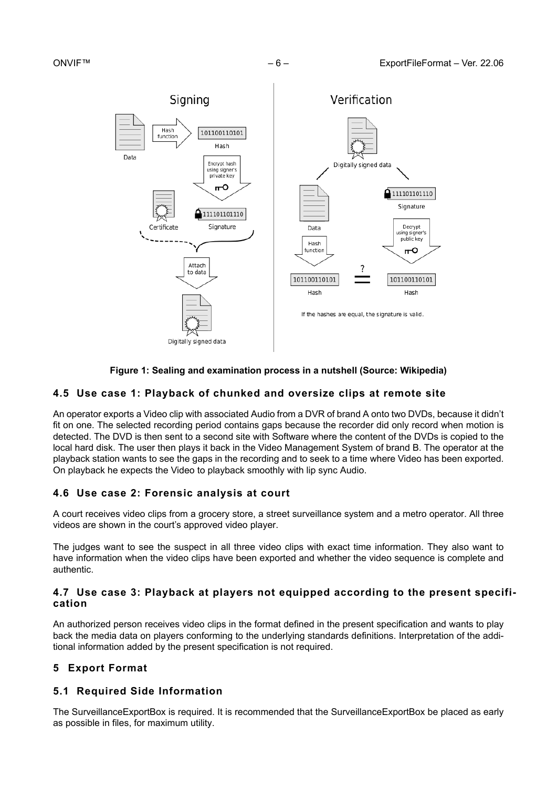

# **Figure 1: Sealing and examination process in a nutshell (Source: Wikipedia)**

# <span id="page-5-0"></span>**4.5 Use case 1: Playback of chunked and oversize clips at remote site**

An operator exports a Video clip with associated Audio from a DVR of brand A onto two DVDs, because it didn't fit on one. The selected recording period contains gaps because the recorder did only record when motion is detected. The DVD is then sent to a second site with Software where the content of the DVDs is copied to the local hard disk. The user then plays it back in the Video Management System of brand B. The operator at the playback station wants to see the gaps in the recording and to seek to a time where Video has been exported. On playback he expects the Video to playback smoothly with lip sync Audio.

# <span id="page-5-1"></span>**4.6 Use case 2: Forensic analysis at court**

A court receives video clips from a grocery store, a street surveillance system and a metro operator. All three videos are shown in the court's approved video player.

The judges want to see the suspect in all three video clips with exact time information. They also want to have information when the video clips have been exported and whether the video sequence is complete and authentic.

# <span id="page-5-2"></span>**4.7 Use case 3: Playback at players not equipped according to the present specification**

An authorized person receives video clips in the format defined in the present specification and wants to play back the media data on players conforming to the underlying standards definitions. Interpretation of the additional information added by the present specification is not required.

# <span id="page-5-3"></span>**5 Export Format**

# <span id="page-5-4"></span>**5.1 Required Side Information**

The SurveillanceExportBox is required. It is recommended that the SurveillanceExportBox be placed as early as possible in files, for maximum utility.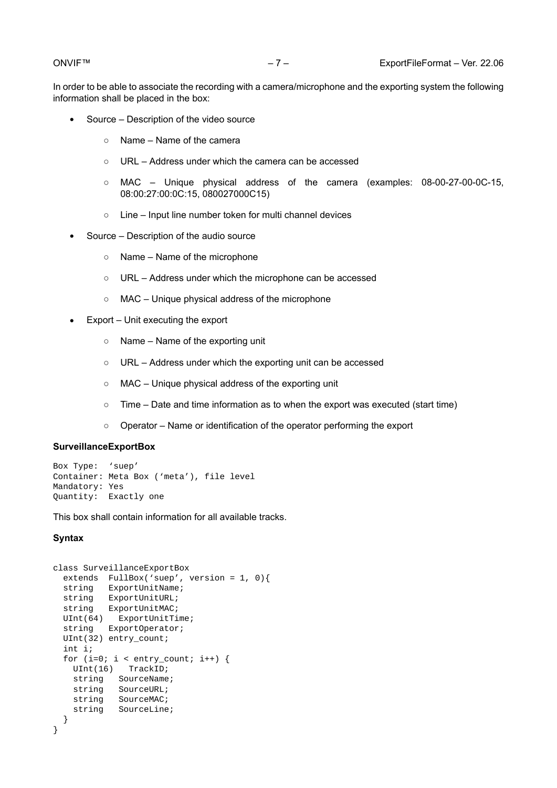In order to be able to associate the recording with a camera/microphone and the exporting system the following information shall be placed in the box:

- **•** Source Description of the video source
	- Name Name of the camera
	- URL Address under which the camera can be accessed
	- MAC Unique physical address of the camera (examples: 08-00-27-00-0C-15, 08:00:27:00:0C:15, 080027000C15)
	- Line Input line number token for multi channel devices
- **•** Source Description of the audio source
	- Name Name of the microphone
	- URL Address under which the microphone can be accessed
	- MAC Unique physical address of the microphone
- **•** Export Unit executing the export
	- Name Name of the exporting unit
	- URL Address under which the exporting unit can be accessed
	- MAC Unique physical address of the exporting unit
	- Time Date and time information as to when the export was executed (start time)
	- Operator Name or identification of the operator performing the export

#### **SurveillanceExportBox**

```
Box Type: 'suep'
Container: Meta Box ('meta'), file level
Mandatory: Yes
Quantity: Exactly one
```
This box shall contain information for all available tracks.

#### **Syntax**

```
class SurveillanceExportBox
   extends FullBox('suep', version = 1, 0){
string ExportUnitName;
 string ExportUnitURL;
   string ExportUnitMAC;
 UInt(64) ExportUnitTime;
   string ExportOperator;
  UInt(32) entry_count; 
   int i; 
  for (i=0; i < entry_count; i++) {
    UInt(16) TrackID;
    string SourceName;
    string SourceURL;
    string SourceMAC;
    string SourceLine;
   }
}
```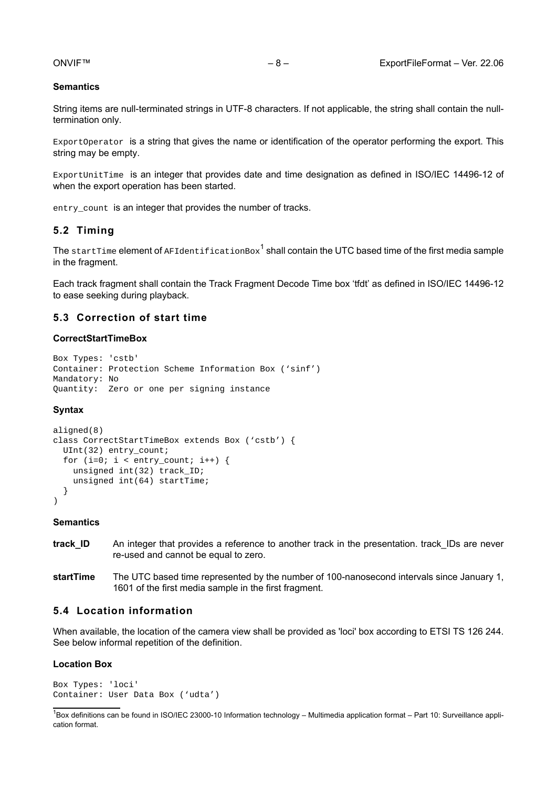### **Semantics**

String items are null-terminated strings in UTF-8 characters. If not applicable, the string shall contain the nulltermination only.

ExportOperator is a string that gives the name or identification of the operator performing the export. This string may be empty.

ExportUnitTime is an integer that provides date and time designation as defined in ISO/IEC 14496-12 of when the export operation has been started.

<span id="page-7-0"></span>entry\_count is an integer that provides the number of tracks.

# **5.2 Timing**

The  $\tt{startTime}$  element of  $\tt{AFIdentificationBox}^1$  shall contain the UTC based time of the first media sample in the fragment.

Each track fragment shall contain the Track Fragment Decode Time box 'tfdt' as defined in ISO/IEC 14496-12 to ease seeking during playback.

### <span id="page-7-1"></span>**5.3 Correction of start time**

#### **CorrectStartTimeBox**

```
Box Types: 'cstb' 
Container: Protection Scheme Information Box ('sinf')
Mandatory: No 
Quantity: Zero or one per signing instance
```
#### **Syntax**

```
aligned(8) 
class CorrectStartTimeBox extends Box ('cstb') {
   UInt(32) entry_count;
  for (i=0; i < entry_count; i++) {
     unsigned int(32) track_ID;
    unsigned int(64) startTime;
   }
)
```
#### **Semantics**

- **track\_ID** An integer that provides a reference to another track in the presentation. track IDs are never re-used and cannot be equal to zero.
- **startTime** The UTC based time represented by the number of 100-nanosecond intervals since January 1, 1601 of the first media sample in the first fragment.

# <span id="page-7-2"></span>**5.4 Location information**

When available, the location of the camera view shall be provided as 'loci' box according to ETSI TS 126 244. See below informal repetition of the definition.

#### **Location Box**

```
Box Types: 'loci' 
Container: User Data Box ('udta')
```
<sup>&</sup>lt;sup>1</sup>Box definitions can be found in ISO/IEC 23000-10 Information technology – Multimedia application format – Part 10: Surveillance application format.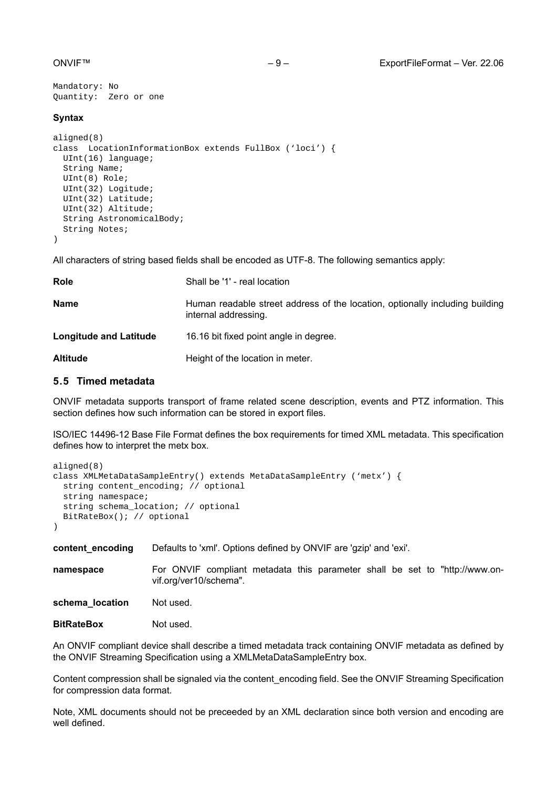```
Mandatory: No 
Quantity: Zero or one
```
### **Syntax**

```
aligned(8) 
class LocationInformationBox extends FullBox ('loci') {
   UInt(16) language;
   String Name;
   UInt(8) Role;
   UInt(32) Logitude;
   UInt(32) Latitude;
  UInt(32) Altitude;
  String AstronomicalBody;
   String Notes;
)
```
All characters of string based fields shall be encoded as UTF-8. The following semantics apply:

| <b>Role</b>                   | Shall be '1' - real location                                                                         |
|-------------------------------|------------------------------------------------------------------------------------------------------|
| <b>Name</b>                   | Human readable street address of the location, optionally including building<br>internal addressing. |
| <b>Longitude and Latitude</b> | 16.16 bit fixed point angle in degree.                                                               |
| <b>Altitude</b>               | Height of the location in meter.                                                                     |

# <span id="page-8-0"></span>**5.5 Timed metadata**

ONVIF metadata supports transport of frame related scene description, events and PTZ information. This section defines how such information can be stored in export files.

ISO/IEC 14496-12 Base File Format defines the box requirements for timed XML metadata. This specification defines how to interpret the metx box.

```
aligned(8) 
class XMLMetaDataSampleEntry() extends MetaDataSampleEntry ('metx') {
   string content_encoding; // optional
  string namespace;
  string schema_location; // optional
  BitRateBox(); // optional
)
```
**content encoding** Defaults to 'xml'. Options defined by ONVIF are 'gzip' and 'exi'.

**namespace** For ONVIF compliant metadata this parameter shall be set to "http://www.onvif.org/ver10/schema".

schema location Not used.

**BitRateBox** Not used.

An ONVIF compliant device shall describe a timed metadata track containing ONVIF metadata as defined by the ONVIF Streaming Specification using a XMLMetaDataSampleEntry box.

Content compression shall be signaled via the content\_encoding field. See the ONVIF Streaming Specification for compression data format.

Note, XML documents should not be preceeded by an XML declaration since both version and encoding are well defined.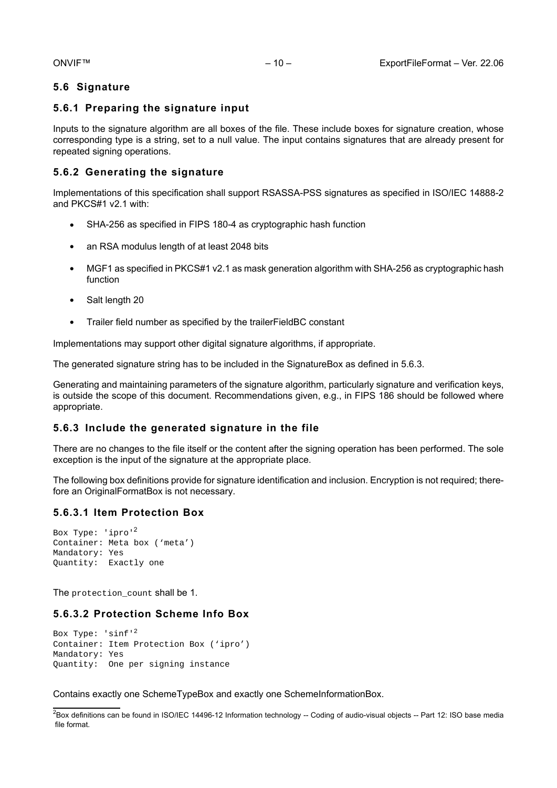# <span id="page-9-0"></span>**5.6 Signature**

# <span id="page-9-1"></span>**5.6.1 Preparing the signature input**

Inputs to the signature algorithm are all boxes of the file. These include boxes for signature creation, whose corresponding type is a string, set to a null value. The input contains signatures that are already present for repeated signing operations.

# <span id="page-9-2"></span>**5.6.2 Generating the signature**

Implementations of this specification shall support RSASSA-PSS signatures as specified in ISO/IEC 14888-2 and PKCS#1 v2.1 with:

- **•** SHA-256 as specified in FIPS 180-4 as cryptographic hash function
- **•** an RSA modulus length of at least 2048 bits
- **•** MGF1 as specified in PKCS#1 v2.1 as mask generation algorithm with SHA-256 as cryptographic hash function
- **•** Salt length 20
- **•** Trailer field number as specified by the trailerFieldBC constant

Implementations may support other digital signature algorithms, if appropriate.

The generated signature string has to be included in the SignatureBox as defined in [5.6.3](#page-9-3).

Generating and maintaining parameters of the signature algorithm, particularly signature and verification keys, is outside the scope of this document. Recommendations given, e.g., in FIPS 186 should be followed where appropriate.

# <span id="page-9-3"></span>**5.6.3 Include the generated signature in the file**

There are no changes to the file itself or the content after the signing operation has been performed. The sole exception is the input of the signature at the appropriate place.

The following box definitions provide for signature identification and inclusion. Encryption is not required; therefore an OriginalFormatBox is not necessary.

# <span id="page-9-4"></span>**5.6.3.1 Item Protection Box**

```
Box Type: 'ipro'2
Container: Meta box ('meta')
Mandatory: Yes
Quantity: Exactly one
```
The protection count shall be 1.

# <span id="page-9-5"></span>**5.6.3.2 Protection Scheme Info Box**

```
Box Type: 'sinf'<sup>2</sup>
Container: Item Protection Box ('ipro')
Mandatory: Yes
Quantity: One per signing instance
```
Contains exactly one SchemeTypeBox and exactly one SchemeInformationBox.

<sup>&</sup>lt;sup>2</sup>Box definitions can be found in ISO/IEC 14496-12 Information technology -- Coding of audio-visual objects -- Part 12: ISO base media file format.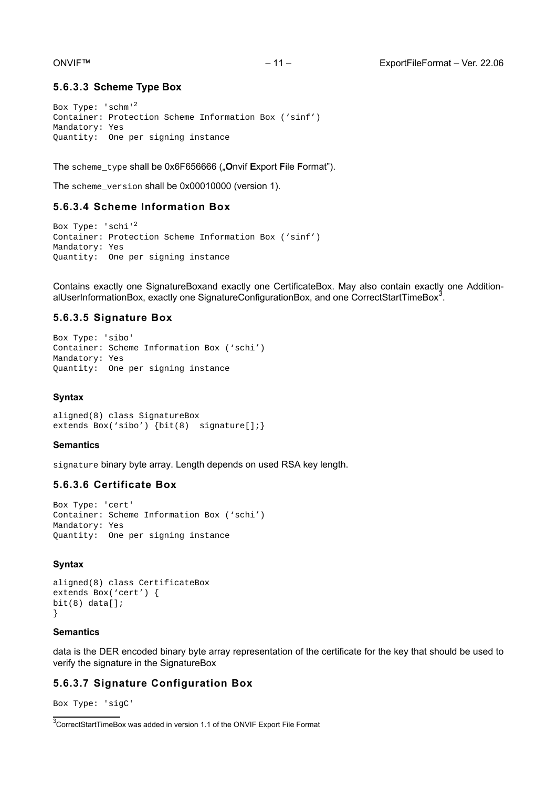### <span id="page-10-0"></span>**5.6.3.3 Scheme Type Box**

Box Type: 'schm'<sup>2</sup> Container: Protection Scheme Information Box ('sinf') Mandatory: Yes Quantity: One per signing instance

The scheme\_type shall be 0x6F656666 ("**O**nvif **E**xport **F**ile **F**ormat").

<span id="page-10-1"></span>The scheme\_version shall be 0x00010000 (version 1).

#### **5.6.3.4 Scheme Information Box**

Box Type: 'schi'<sup>2</sup> Container: Protection Scheme Information Box ('sinf') Mandatory: Yes Quantity: One per signing instance

Contains exactly one SignatureBoxand exactly one CertificateBox. May also contain exactly one AdditionalUserInformationBox, exactly one SignatureConfigurationBox, and one CorrectStartTimeBox $^3$ .

### <span id="page-10-2"></span>**5.6.3.5 Signature Box**

```
Box Type: 'sibo'
Container: Scheme Information Box ('schi')
Mandatory: Yes
Quantity: One per signing instance
```
#### **Syntax**

```
aligned(8) class SignatureBox
extends Box('sibo') {bit(8) signature[];}
```
#### **Semantics**

signature binary byte array. Length depends on used RSA key length.

#### <span id="page-10-3"></span>**5.6.3.6 Certificate Box**

```
Box Type: 'cert'
Container: Scheme Information Box ('schi')
Mandatory: Yes
Quantity: One per signing instance
```
#### **Syntax**

```
aligned(8) class CertificateBox
extends Box('cert') {
bit(8) data[]}
```
#### **Semantics**

data is the DER encoded binary byte array representation of the certificate for the key that should be used to verify the signature in the SignatureBox

# <span id="page-10-4"></span>**5.6.3.7 Signature Configuration Box**

Box Type: 'sigC'

<sup>3</sup>CorrectStartTimeBox was added in version 1.1 of the ONVIF Export File Format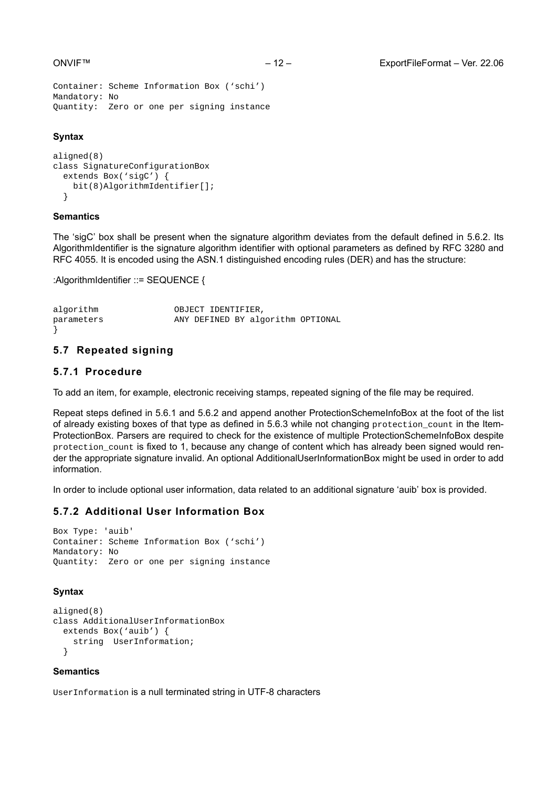```
Container: Scheme Information Box ('schi')
Mandatory: No
Quantity: Zero or one per signing instance
```
### **Syntax**

```
aligned(8) 
class SignatureConfigurationBox
   extends Box('sigC') {
     bit(8)AlgorithmIdentifier[];
   }
```
#### **Semantics**

The 'sigC' box shall be present when the signature algorithm deviates from the default defined in [5.6.2.](#page-9-2) Its AlgorithmIdentifier is the signature algorithm identifier with optional parameters as defined by RFC 3280 and RFC 4055. It is encoded using the ASN.1 distinguished encoding rules (DER) and has the structure:

:AlgorithmIdentifier ::= SEQUENCE {

| algorithm  | OBJECT IDENTIFIER, |                                   |  |
|------------|--------------------|-----------------------------------|--|
| parameters |                    | ANY DEFINED BY algorithm OPTIONAL |  |

# <span id="page-11-0"></span>**5.7 Repeated signing**

#### <span id="page-11-1"></span>**5.7.1 Procedure**

To add an item, for example, electronic receiving stamps, repeated signing of the file may be required.

Repeat steps defined in [5.6.1](#page-9-1) and [5.6.2](#page-9-2) and append another ProtectionSchemeInfoBox at the foot of the list of already existing boxes of that type as defined in [5.6.3](#page-9-3) while not changing protection\_count in the Item-ProtectionBox. Parsers are required to check for the existence of multiple ProtectionSchemeInfoBox despite protection\_count is fixed to 1, because any change of content which has already been signed would render the appropriate signature invalid. An optional AdditionalUserInformationBox might be used in order to add information.

<span id="page-11-2"></span>In order to include optional user information, data related to an additional signature 'auib' box is provided.

# **5.7.2 Additional User Information Box**

```
Box Type: 'auib'
Container: Scheme Information Box ('schi')
Mandatory: No
Quantity: Zero or one per signing instance
```
### **Syntax**

```
aligned(8) 
class AdditionalUserInformationBox
   extends Box('auib') {
     string UserInformation;
   }
```
### **Semantics**

UserInformation is a null terminated string in UTF-8 characters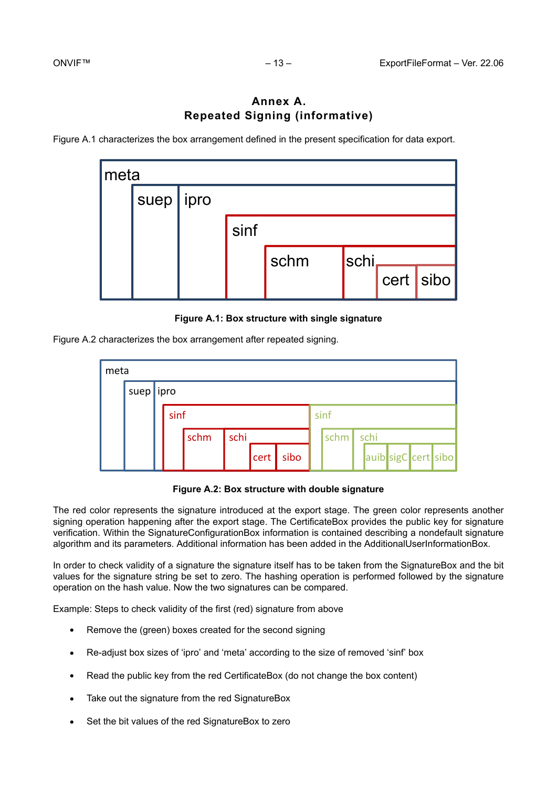# **Annex A. Repeated Signing (informative)**

<span id="page-12-1"></span><span id="page-12-0"></span>[Figure A.1](#page-12-1) characterizes the box arrangement defined in the present specification for data export.

| ∣meta |      |      |      |      |  |           |  |  |
|-------|------|------|------|------|--|-----------|--|--|
|       | suep | ipro |      |      |  |           |  |  |
|       |      |      | sinf |      |  |           |  |  |
|       |      |      | schm | schi |  |           |  |  |
|       |      |      |      |      |  | cert sibo |  |  |

**Figure A.1: Box structure with single signature**

<span id="page-12-2"></span>[Figure A.2](#page-12-2) characterizes the box arrangement after repeated signing.

| meta |           |      |              |  |              |      |  |        |  |      |  |  |                     |
|------|-----------|------|--------------|--|--------------|------|--|--------|--|------|--|--|---------------------|
|      | suep ipro |      |              |  |              |      |  |        |  |      |  |  |                     |
|      |           | sinf |              |  |              |      |  | sinf   |  |      |  |  |                     |
|      |           |      | schi<br>schm |  |              |      |  | schm l |  | schi |  |  |                     |
|      |           |      |              |  | $ $ cert $ $ | sibo |  |        |  |      |  |  | auib sigC cert sibo |

**Figure A.2: Box structure with double signature**

The red color represents the signature introduced at the export stage. The green color represents another signing operation happening after the export stage. The CertificateBox provides the public key for signature verification. Within the SignatureConfigurationBox information is contained describing a nondefault signature algorithm and its parameters. Additional information has been added in the AdditionalUserInformationBox.

In order to check validity of a signature the signature itself has to be taken from the SignatureBox and the bit values for the signature string be set to zero. The hashing operation is performed followed by the signature operation on the hash value. Now the two signatures can be compared.

Example: Steps to check validity of the first (red) signature from above

- **•** Remove the (green) boxes created for the second signing
- **•** Re-adjust box sizes of 'ipro' and 'meta' according to the size of removed 'sinf' box
- **•** Read the public key from the red CertificateBox (do not change the box content)
- **•** Take out the signature from the red SignatureBox
- **•** Set the bit values of the red SignatureBox to zero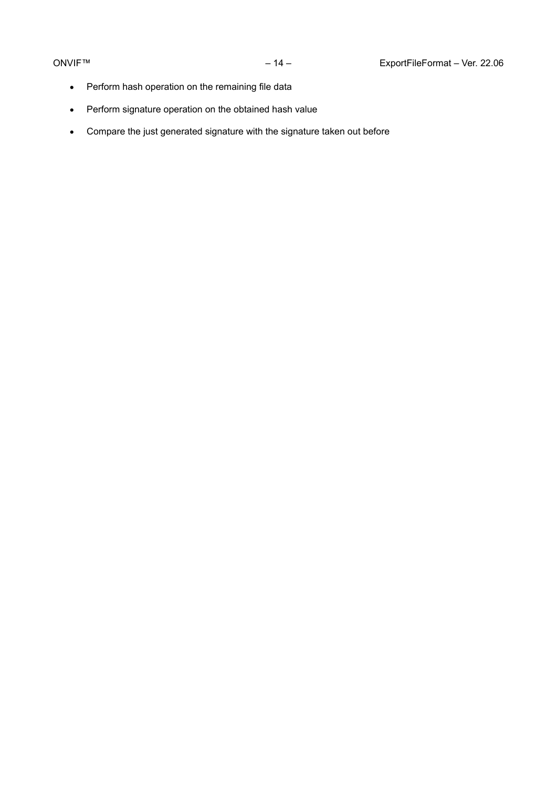- **•** Perform hash operation on the remaining file data
- **•** Perform signature operation on the obtained hash value
- **•** Compare the just generated signature with the signature taken out before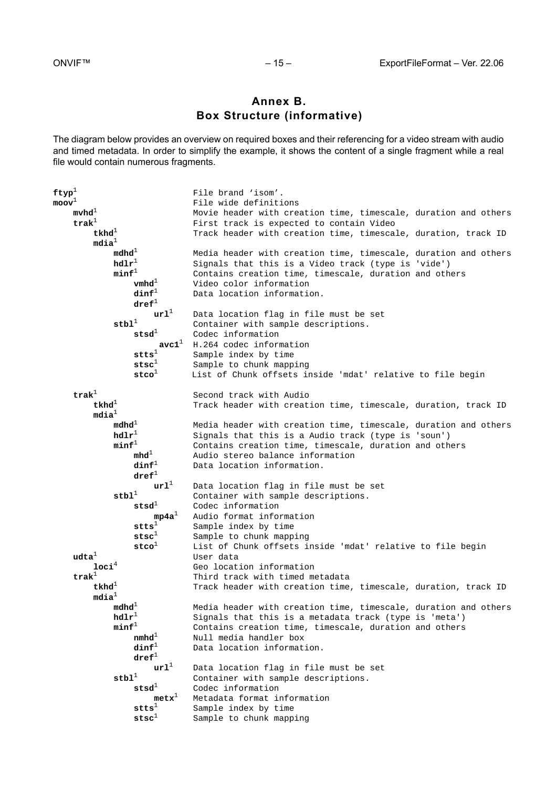# **Annex B. Box Structure (informative)**

<span id="page-14-0"></span>The diagram below provides an overview on required boxes and their referencing for a video stream with audio and timed metadata. In order to simplify the example, it shows the content of a single fragment while a real file would contain numerous fragments.

```
ftyp<sup>1</sup> File brand 'isom'.<br>
moov<sup>1</sup> File wide definiti
                                                 moov1 File wide definitions
      mvhd<sup>1</sup> Movie header with creation time, timescale, duration and others
       trak<sup>1</sup> First track is expected to contain Video<br>tkhd<sup>1</sup> Track header with creation time. timescal
                                                 Track header with creation time, timescale, duration, track ID
               mdia1
                     mdhd<sup>1</sup> Media header with creation time, timescale, duration and others health Signals that this is a Video track (type is 'vide')
                     hdlr<sup>1</sup> Signals that this is a Video track (type is 'vide') minf<sup>1</sup> Contains creation time, timescale, duration and oth
                                                 Contains creation time, timescale, duration and others
                            vmhd<sup>1</sup> Video color information<br>dinf<sup>1</sup> Data location informati
                                                 Data location information.
                            \begin{array}{c} \texttt{dref}^1 \\ \texttt{url}^1 \end{array}url<sup>1</sup> Data location flag in file must be set stbl<sup>1</sup> Container with sample descriptions.
                            <sup>1</sup> Container with sample descriptions.<br>
stsd<sup>1</sup> Codec information
                                     Codec information<br>avc1<sup>1</sup> H.264 codec inform
                            avc1<sup>1</sup> H.264 codec information<br>stts<sup>1</sup> Sample index by time
                            stts<sup>1</sup> Sample index by time<br>stsc<sup>1</sup> Sample to chunk mapp
                            stsc<sup>1</sup> Sample to chunk mapping<br>stco<sup>1</sup> List of Chunk offsets in
                                                List of Chunk offsets inside 'mdat' relative to file begin
       trak<sup>1</sup> Second track with Audio<br>tkhd<sup>1</sup> Track header with creat
                                                 Track header with creation time, timescale, duration, track ID
              \begin{array}{c} \mathtt{mdia}^1 \\ \mathtt{mdhd}^1 \end{array}mdhd<sup>1</sup> Media header with creation time, timescale, duration and others hdlr<sup>1</sup> Signals that this is a Audio track (type is 'soun')
                     hdlr<sup>1</sup> Signals that this is a Audio track (type is 'soun')<br>minf<sup>1</sup> Contains creation time, timescale, duration and oth
                            \mathbf{F}^1 Contains creation time, timescale, duration and others<br>mhd<sup>1</sup> Audio stereo balance information
                            mhd<sup>1</sup> Audio stereo balance information<br>dinf<sup>1</sup> Data location information.
                                                Data location information.
                            \frac{dref^1}{ur1^1}url<sup>1</sup> Data location flag in file must be set stbl<sup>1</sup> Container with sample descriptions.
                            <sup>1</sup> Container with sample descriptions.<br>
stsd<sup>1</sup> Codec information
                                   s<sup>1</sup> Codec information<br>mp4a<sup>1</sup> Audio format information
                                                 Audio format information
                            stts<sup>1</sup> Sample index by time<br>stsc<sup>1</sup> Sample to chunk mapp
                            stsc<sup>1</sup> Sample to chunk mapping<br>stco<sup>1</sup> List of Chunk offsets i
       stco<sup>1</sup> List of Chunk offsets inside 'mdat' relative to file begin<br>User data
              uden and the User data<br>1 User data Geo locat
       loci<sup>4</sup> Geo location information<br>trak<sup>1</sup> Third track with timed m
              t<sup>1</sup> Third track with timed metadata<br>
tkhd<sup>1</sup> Track header with creation time
                                                 Track header with creation time, timescale, duration, track ID
               mdia1
                      mdhd1 Media header with creation time, timescale, duration and others
                     hdlr<sup>1</sup> Signals that this is a metadata track (type is 'meta')<br>minf<sup>1</sup> Contains creation time, timescale, duration and others
                            <sup>1</sup> Contains creation time, timescale, duration and others<br>nmhd<sup>1</sup>     Null media handler box
                            nmhd<sup>1</sup> Null media handler box<br>dinf<sup>1</sup> Data location informat
                                                Data location information.
                            \mathbf{d} \mathbf{r} \mathbf{e} \mathbf{f}^1url<sup>1</sup> Data location flag in file must be set stbl<sup>1</sup> Container with sample descriptions.
                            <sup>1</sup> Container with sample descriptions.<br>stsd<sup>1</sup> Codec information
                                   f<sup>1</sup> Codec information<br>metx<sup>1</sup> Metadata format in
                            metx<sup>1</sup> Metadata format information<br>stts<sup>1</sup> Sample index by time
                            stts<sup>1</sup> Sample index by time<br>stsc<sup>1</sup> Sample to chunk mapp
                                                 Sample to chunk mapping
```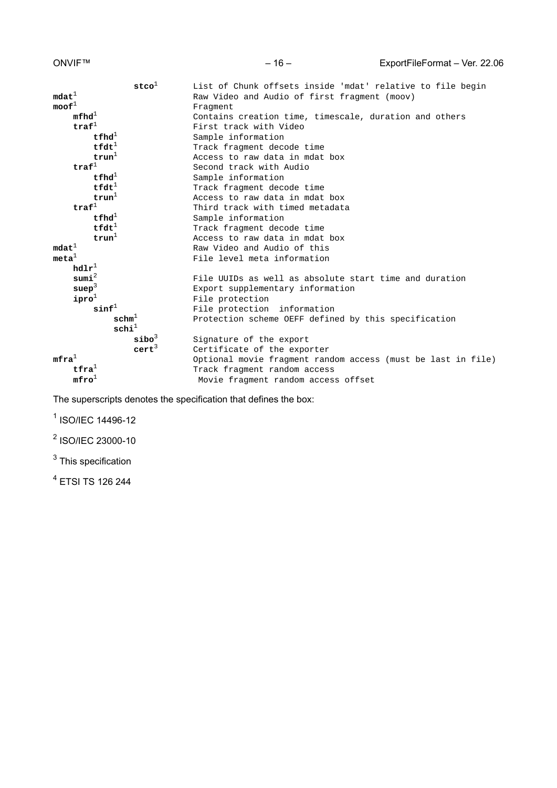| $\verb stco ^{1}$                   | List of Chunk offsets inside 'mdat' relative to file begin   |
|-------------------------------------|--------------------------------------------------------------|
| $\texttt{mdat}^1$                   | Raw Video and Audio of first fragment (moov)                 |
| $\text{mod} \mathbf{f}^1$           | Fraqment                                                     |
| mfhd <sup>1</sup>                   | Contains creation time, timescale, duration and others       |
| $\texttt{traf}^1$                   | First track with Video                                       |
| $t$ fhd <sup><math>\pm</math></sup> | Sample information                                           |
| $\texttt{tfdt}^1$                   | Track fragment decode time                                   |
| trun <sup>1</sup>                   | Access to raw data in mdat box                               |
| $\texttt{traf}^1$                   | Second track with Audio                                      |
| $t$ fhd $^1$                        | Sample information                                           |
| $\texttt{tfdt}^1$                   | Track fragment decode time                                   |
| trun <sup>1</sup>                   | Access to raw data in mdat box                               |
| $\texttt{traf}^1$                   | Third track with timed metadata                              |
| $t$ fhd $^1$                        | Sample information                                           |
| $\texttt{tfdt}^1$                   | Track fragment decode time                                   |
| trun <sup>1</sup>                   | Access to raw data in mdat box                               |
| $\text{mdat}^{\perp}$               | Raw Video and Audio of this                                  |
| meta <sup>1</sup>                   | File level meta information                                  |
| $\texttt{hdlr}^\perp$               |                                                              |
| sumi <sup>2</sup>                   | File UUIDs as well as absolute start time and duration       |
| suep <sup>3</sup>                   | Export supplementary information                             |
| $\mathbf{ipro}^1$                   | File protection                                              |
| $\texttt{sinf}^1$                   | File protection information                                  |
| $\mathtt{schm}^1$                   | Protection scheme OEFF defined by this specification         |
| $\texttt{schi}^1$                   |                                                              |
| $\texttt{sibo}^3$                   | Signature of the export                                      |
| $cert^3$                            | Certificate of the exporter                                  |
| $m$ fra $^1$                        | Optional movie fragment random access (must be last in file) |
| $\text{tfra}^{\perp}$               | Track fragment random access                                 |
| $mfro\perp$                         | Movie fragment random access offset                          |

The superscripts denotes the specification that defines the box:

<sup>1</sup> ISO/IEC 14496-12

<sup>2</sup> ISO/IEC 23000-10

 $^3$  This specification

 $^4$  ETSI TS 126 244